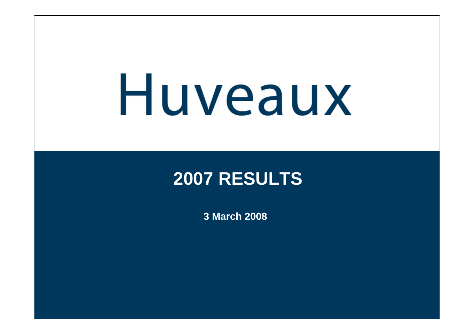#### **2007 RESULTS**

**3 March 2008**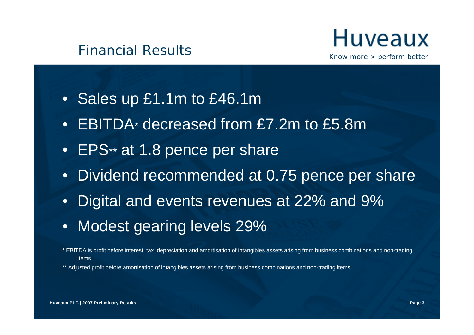

- Sales up £1.1m to £46.1m
- EBITDA\* decreased from £7.2m to £5.8m
- EPS\*\* at 1.8 pence per share
- Dividend recommended at 0.75 pence per share
- Digital and events revenues at 22% and 9%
- Modest gearing levels 29%
- \* EBITDA is profit before interest, tax, depreciation and amortisation of intangibles assets arising from business combinations and non-trading items.

\*\* Adjusted profit before amortisation of intangibles assets arising from business combinations and non-trading items.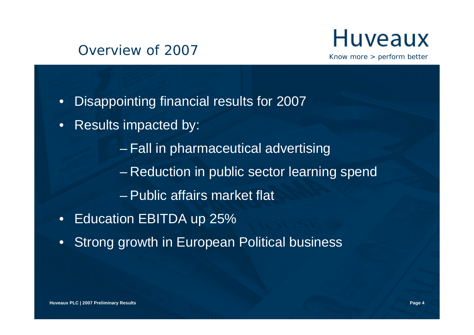#### Overview of 2007



- Disappointing financial results for 2007
- Results impacted by:
	- Fall in pharmaceutical advertising
	- Reduction in public sector learning spend
	- Public affairs market flat
- Education EBITDA up 25%
- Strong growth in European Political business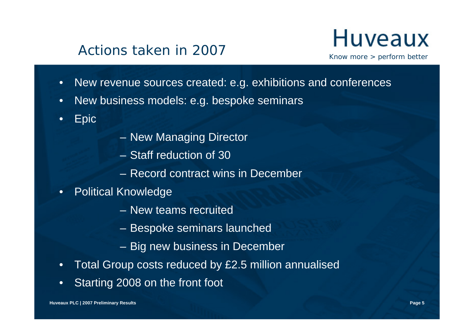#### Actions taken in 2007

### **Huveaux**

Know more > perform better

- New revenue sources created: e.g. exhibitions and conferences
- New business models: e.g. bespoke seminars

• Epic

- New Managing Director
- Staff reduction of 30
- Record contract wins in December
- Political Knowledge
	- New teams recruited
	- Bespoke seminars launched
	- Big new business in December
- Total Group costs reduced by £2.5 million annualised
- Starting 2008 on the front foot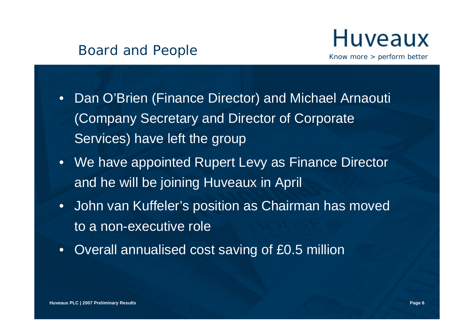

- Dan O'Brien (Finance Director) and Michael Arnaouti (Company Secretary and Director of Corporate Services) have left the group
- We have appointed Rupert Levy as Finance Director and he will be joining Huveaux in April
- John van Kuffeler's position as Chairman has moved to a non-executive role
- Overall annualised cost saving of £0.5 million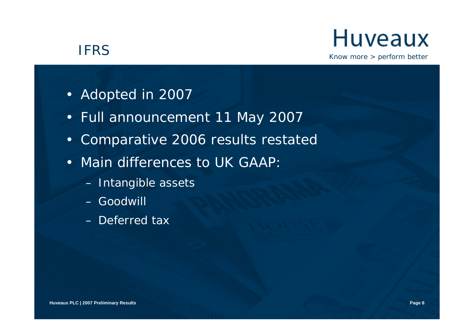#### IFRS

### Huveaux

- Adopted in 2007
- Full announcement 11 May 2007
- Comparative 2006 results restated
- Main differences to UK GAAP:
	- Intangible assets
	- Goodwill
	- Deferred tax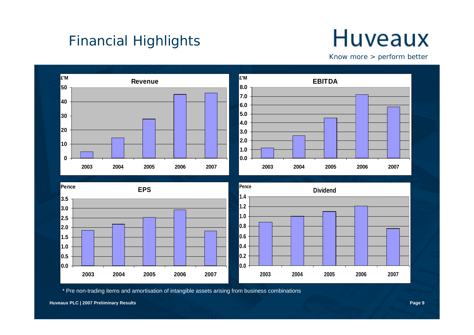#### Financial Highlights

### **Huveaux**

Know more > perform better



\* Pre non-trading items and amortisation of intangible assets arising from business combinations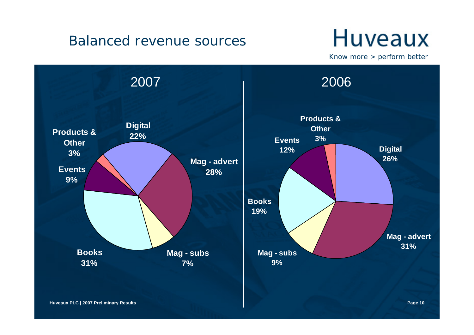#### Balanced revenue sources

### **Huveaux**

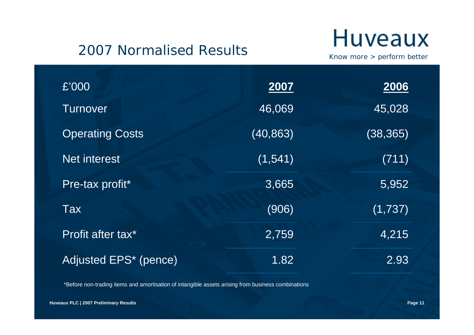#### 2007 Normalised Results

### **Huveaux**

Know more > perform better

| £'000                  | 2007      | 2006      |
|------------------------|-----------|-----------|
| <b>Turnover</b>        | 46,069    | 45,028    |
| <b>Operating Costs</b> | (40, 863) | (38, 365) |
| <b>Net interest</b>    | (1, 541)  | (711)     |
| Pre-tax profit*        | 3,665     | 5,952     |
| Tax                    | (906)     | (1,737)   |
| Profit after tax*      | 2,759     | 4,215     |
| Adjusted EPS* (pence)  | 1.82      | 2.93      |

\*Before non-trading items and amortisation of intangible assets arising from business combinations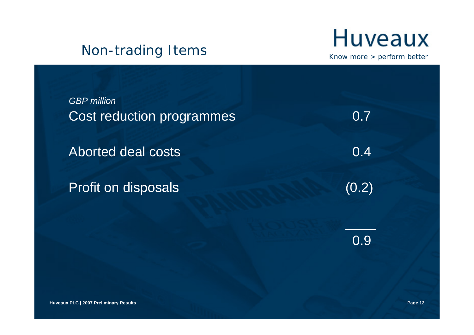#### Non-trading Items



Know more > perform better

*GBP million*Cost reduction programmes 0.7

Aborted deal costs and the cost of the cost of the cost of the cost of the cost of the cost of the cost of the cost of the cost of the cost of the cost of the cost of the cost of the cost of the cost of the cost of the cos

Profit on disposals (0.2)

0.9

\_\_\_\_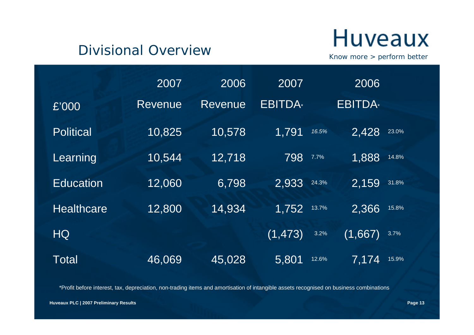#### Divisional Overview

### **Huveaux**

Know more > perform better

|                   | 2007           | 2006    | 2007          |       | 2006          |       |
|-------------------|----------------|---------|---------------|-------|---------------|-------|
| £'000             | <b>Revenue</b> | Revenue | <b>EBITDA</b> |       | <b>EBITDA</b> |       |
| <b>Political</b>  | 10,825         | 10,578  | 1,791         | 16.5% | 2,428         | 23.0% |
| Learning          | 10,544         | 12,718  | 798           | 7.7%  | 1,888         | 14.8% |
| <b>Education</b>  | 12,060         | 6,798   | 2,933         | 24.3% | 2,159         | 31.8% |
| <b>Healthcare</b> | 12,800         | 14,934  | 1,752         | 13.7% | 2,366         | 15.8% |
| <b>HQ</b>         |                |         | (1, 473)      | 3.2%  | (1,667)       | 3.7%  |
| Total             | 46,069         | 45,028  | 5,801         | 12.6% | 7.174         | 15.9% |

\*Profit before interest, tax, depreciation, non-trading items and amortisation of intangible assets recognised on business combinations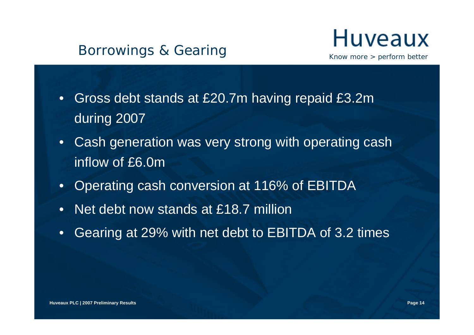#### Borrowings & Gearing



- Gross debt stands at £20.7m having repaid £3.2m during 2007
- Cash generation was very strong with operating cash inflow of £6.0m
- Operating cash conversion at 116% of EBITDA
- Net debt now stands at £18.7 million
- Gearing at 29% with net debt to EBITDA of 3.2 times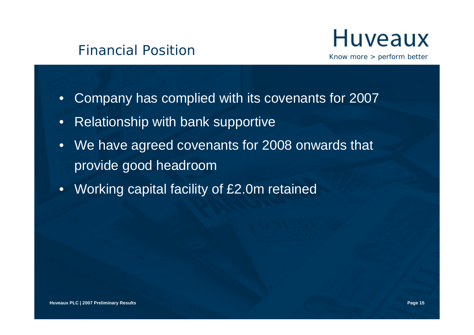



- Company has complied with its covenants for 2007
- Relationship with bank supportive
- We have agreed covenants for 2008 onwards that provide good headroom
- Working capital facility of £2.0m retained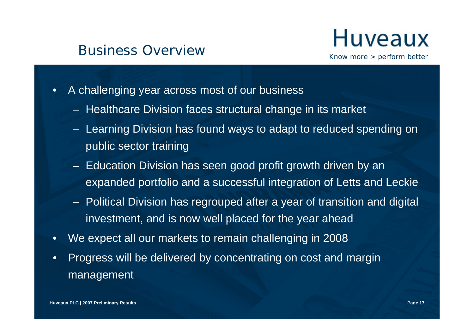#### Business Overview



- A challenging year across most of our business
	- Healthcare Division faces structural change in its market
	- Learning Division has found ways to adapt to reduced spending on public sector training
	- Education Division has seen good profit growth driven by an expanded portfolio and a successful integration of Letts and Leckie
	- Political Division has regrouped after a year of transition and digital investment, and is now well placed for the year ahead
- We expect all our markets to remain challenging in 2008
- Progress will be delivered by concentrating on cost and margin management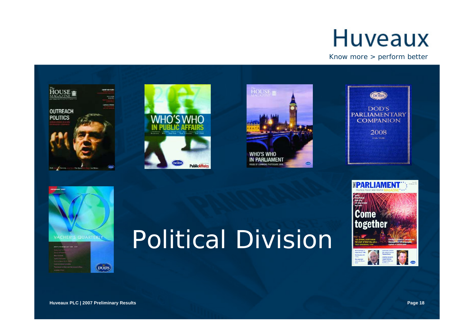Know more > perform better











# Political Division



**DODS**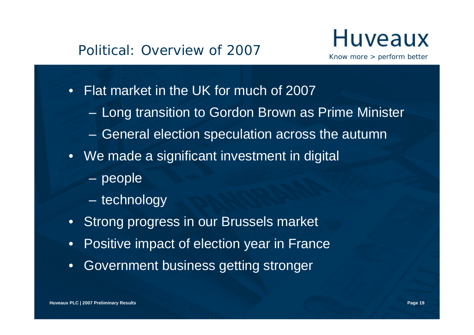- Flat market in the UK for much of 2007
	- Long transition to Gordon Brown as Prime Minister
	- General election speculation across the autumn
- We made a significant investment in digital
	- people
	- technology
- Strong progress in our Brussels market
- Positive impact of election year in France
- Government business getting stronger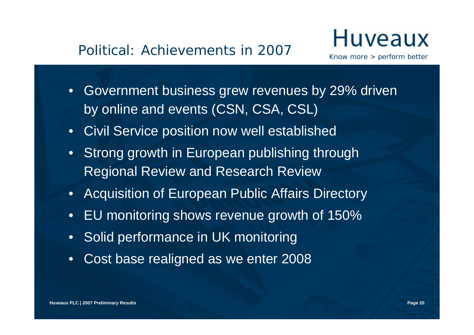#### Political: Achievements in 2007

- Government business grew revenues by 29% driven by online and events (CSN, CSA, CSL)
- Civil Service position now well established
- Strong growth in European publishing through Regional Review and Research Review
- Acquisition of European Public Affairs Directory
- EU monitoring shows revenue growth of 150%
- Solid performance in UK monitoring
- Cost base realigned as we enter 2008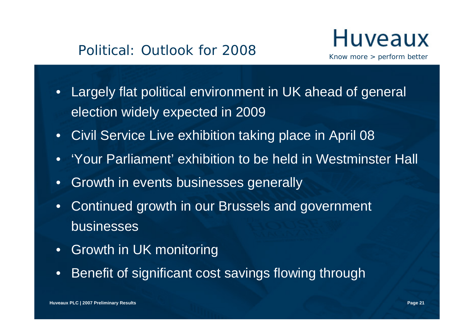- Largely flat political environment in UK ahead of general election widely expected in 2009
- Civil Service Live exhibition taking place in April 08
- 'Your Parliament' exhibition to be held in Westminster Hall
- Growth in events businesses generally
- Continued growth in our Brussels and government businesses
- Growth in UK monitoring
- Benefit of significant cost savings flowing through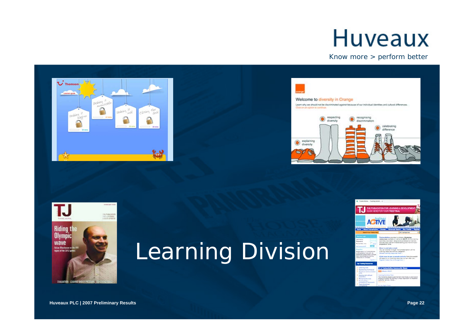#### Know more > perform better







### Learning Division

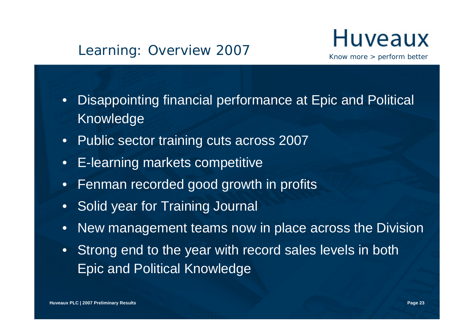#### Learning: Overview 2007

### Huveaux

- Disappointing financial performance at Epic and Political Knowledge
- Public sector training cuts across 2007
- E-learning markets competitive
- Fenman recorded good growth in profits
- Solid year for Training Journal
- New management teams now in place across the Division
- Strong end to the year with record sales levels in both Epic and Political Knowledge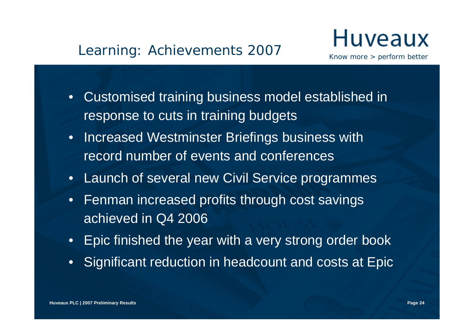#### Learning: Achievements 2007

### Huveaux

- Customised training business model established in response to cuts in training budgets
- Increased Westminster Briefings business with record number of events and conferences
- Launch of several new Civil Service programmes
- Fenman increased profits through cost savings achieved in Q4 2006
- Epic finished the year with a very strong order book
- Significant reduction in headcount and costs at Epic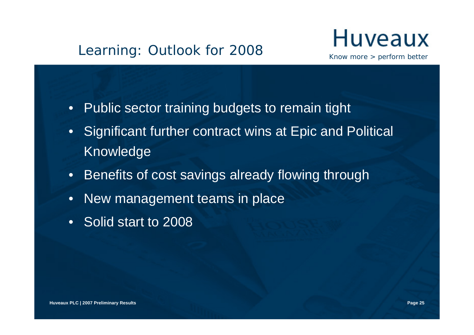- Public sector training budgets to remain tight
- Significant further contract wins at Epic and Political Knowledge
- Benefits of cost savings already flowing through
- New management teams in place
- Solid start to 2008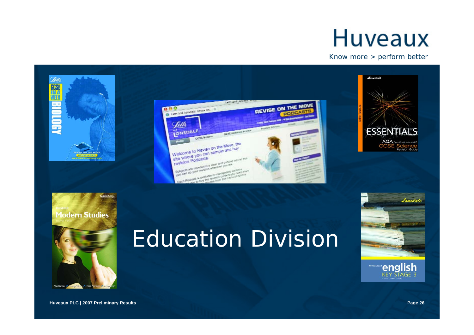Know more > perform better





Leckie x Leckie

### Education Division

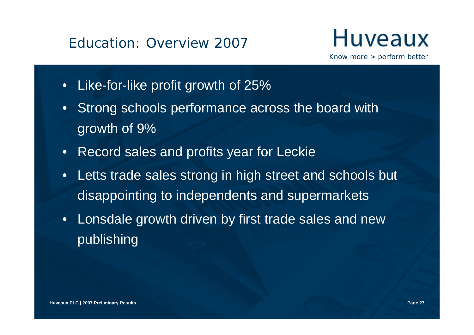#### Education: Overview 2007

### Huveaux

- Like-for-like profit growth of 25%
- Strong schools performance across the board with growth of 9%
- Record sales and profits year for Leckie
- Letts trade sales strong in high street and schools but disappointing to independents and supermarkets
- Lonsdale growth driven by first trade sales and new publishing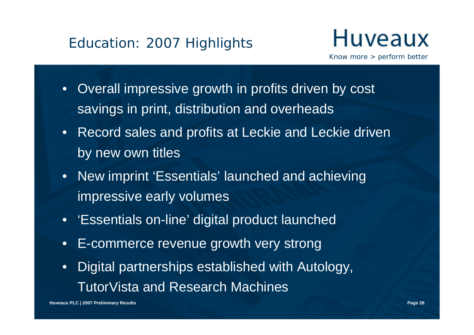

- Overall impressive growth in profits driven by cost savings in print, distribution and overheads
- Record sales and profits at Leckie and Leckie driven by new own titles
- New imprint 'Essentials' launched and achieving impressive early volumes
- 'Essentials on-line' digital product launched
- E-commerce revenue growth very strong
- Digital partnerships established with Autology, TutorVista and Research Machines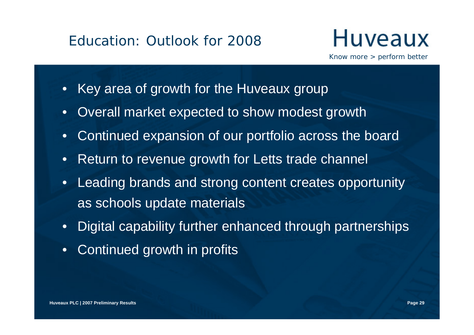- Key area of growth for the Huveaux group
- Overall market expected to show modest growth
- Continued expansion of our portfolio across the board
- Return to revenue growth for Letts trade channel
- Leading brands and strong content creates opportunity as schools update materials
- Digital capability further enhanced through partnerships
- Continued growth in profits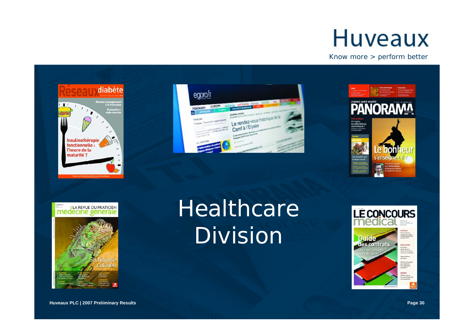









### Healthcare Division

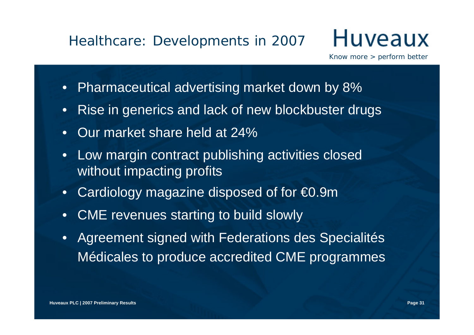#### Healthcare: Developments in 2007

- Pharmaceutical advertising market down by 8%
- Rise in generics and lack of new blockbuster drugs
- Our market share held at 24%
- Low margin contract publishing activities closed without impacting profits
- Cardiology magazine disposed of for €0.9m
- CME revenues starting to build slowly
- Agreement signed with Federations des Specialités Médicales to produce accredited CME programmes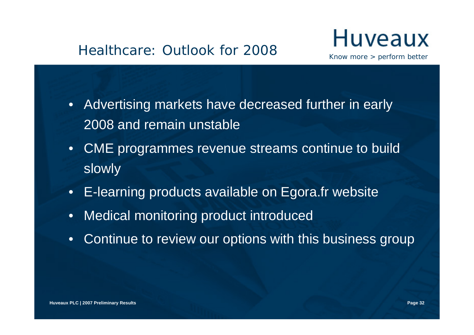

- Advertising markets have decreased further in early 2008 and remain unstable
- CME programmes revenue streams continue to build slowly
- E-learning products available on Egora.fr website
- Medical monitoring product introduced
- Continue to review our options with this business group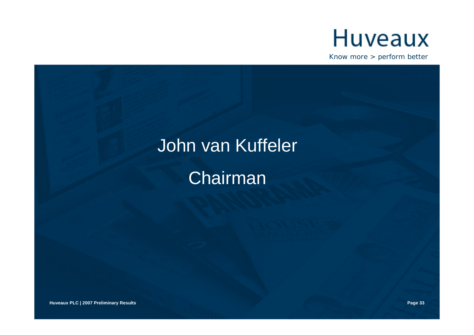

# John van Kuffeler Chairman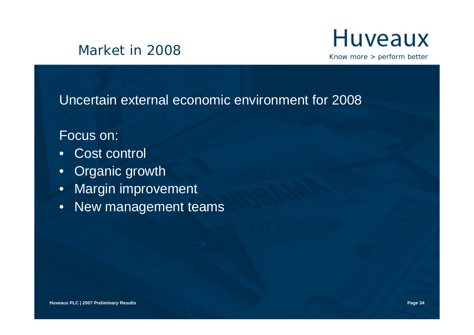

#### Uncertain external economic environment for 2008

Focus on:

- Cost control
- Organic growth
- Margin improvement
- New management teams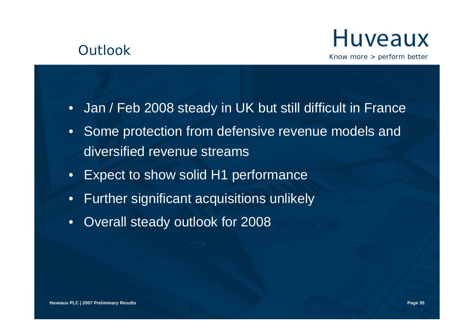



- Jan / Feb 2008 steady in UK but still difficult in France
- Some protection from defensive revenue models and diversified revenue streams
- Expect to show solid H1 performance
- Further significant acquisitions unlikely
- Overall steady outlook for 2008